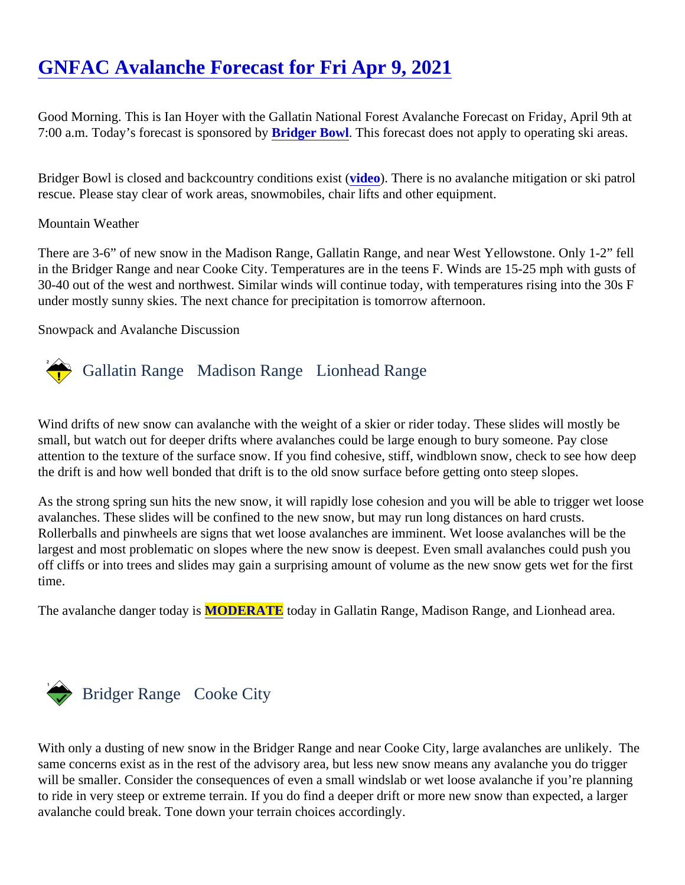# [GNFAC Avalanche Forecast for Fri Apr 9, 2021](https://www.mtavalanche.com/forecast/21/04/09)

Good Morning. This is Ian Hoyer with the Gallatin National Forest Avalanche Forecast on Friday, April 9th at 7:00 a.m. Today's forecast is sponsored Bridger Bowl. This forecast does not apply to operating ski areas.

Bridger Bowl is closed and backcountry conditions existeo). There is no avalanche mitigation or ski patrol rescue. Please stay clear of work areas, snowmobiles, chair lifts and other equipment.

#### Mountain Weather

There are 3-6" of new snow in the Madison Range, Gallatin Range, and near West Yellowstone. Only 1-2" fell in the Bridger Range and near Cooke City. Temperatures are in the teens F. Winds are 15-25 mph with gusts 30-40 out of the west and northwest. Similar winds will continue today, with temperatures rising into the 30s F under mostly sunny skies. The next chance for precipitation is tomorrow afternoon.

Snowpack and Avalanche Discussion

# Gallatin Range Madison RangeLionhead Range

Wind drifts of new snow can avalanche with the weight of a skier or rider today. These slides will mostly be small, but watch out for deeper drifts where avalanches could be large enough to bury someone. Pay close attention to the texture of the surface snow. If you find cohesive, stiff, windblown snow, check to see how dee the drift is and how well bonded that drift is to the old snow surface before getting onto steep slopes.

As the strong spring sun hits the new snow, it will rapidly lose cohesion and you will be able to trigger wet loo avalanches. These slides will be confined to the new snow, but may run long distances on hard crusts. Rollerballs and pinwheels are signs that wet loose avalanches are imminent. Wet loose avalanches will be the largest and most problematic on slopes where the new snow is deepest. Even small avalanches could push y off cliffs or into trees and slides may gain a surprising amount of volume as the new snow gets wet for the firs time.

The avalanche danger today MODERATE today in Gallatin Range, Madison Range, and Lionhead area.

## Bridger Range Cooke City

With only a dusting of new snow in the Bridger Range and near Cooke City, large avalanches are unlikely. The same concerns exist as in the rest of the advisory area, but less new snow means any avalanche you do trigger will be smaller. Consider the consequences of even a small windslab or wet loose avalanche if you're plannin to ride in very steep or extreme terrain. If you do find a deeper drift or more new snow than expected, a larger avalanche could break. Tone down your terrain choices accordingly.